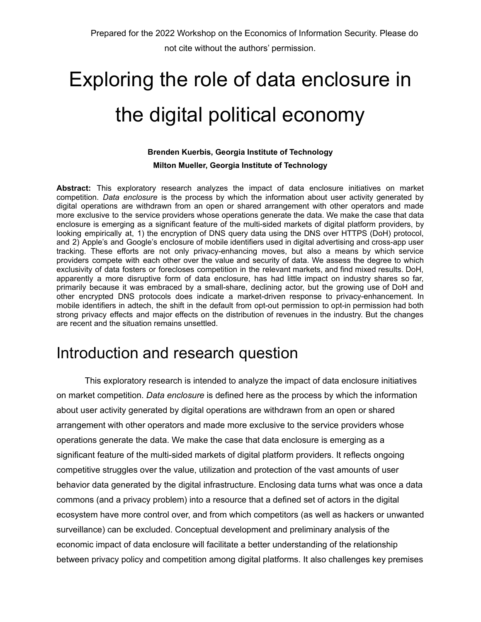# Exploring the role of data enclosure in the digital political economy

#### **Brenden Kuerbis, Georgia Institute of Technology**

**Milton Mueller, Georgia Institute of Technology**

**Abstract:** This exploratory research analyzes the impact of data enclosure initiatives on market competition. *Data enclosure* is the process by which the information about user activity generated by digital operations are withdrawn from an open or shared arrangement with other operators and made more exclusive to the service providers whose operations generate the data. We make the case that data enclosure is emerging as a significant feature of the multi-sided markets of digital platform providers, by looking empirically at, 1) the encryption of DNS query data using the DNS over HTTPS (DoH) protocol, and 2) Apple's and Google's enclosure of mobile identifiers used in digital advertising and cross-app user tracking. These efforts are not only privacy-enhancing moves, but also a means by which service providers compete with each other over the value and security of data. We assess the degree to which exclusivity of data fosters or forecloses competition in the relevant markets, and find mixed results. DoH, apparently a more disruptive form of data enclosure, has had little impact on industry shares so far, primarily because it was embraced by a small-share, declining actor, but the growing use of DoH and other encrypted DNS protocols does indicate a market-driven response to privacy-enhancement. In mobile identifiers in adtech, the shift in the default from opt-out permission to opt-in permission had both strong privacy effects and major effects on the distribution of revenues in the industry. But the changes are recent and the situation remains unsettled.

## Introduction and research question

This exploratory research is intended to analyze the impact of data enclosure initiatives on market competition. *Data enclosure* is defined here as the process by which the information about user activity generated by digital operations are withdrawn from an open or shared arrangement with other operators and made more exclusive to the service providers whose operations generate the data. We make the case that data enclosure is emerging as a significant feature of the multi-sided markets of digital platform providers. It reflects ongoing competitive struggles over the value, utilization and protection of the vast amounts of user behavior data generated by the digital infrastructure. Enclosing data turns what was once a data commons (and a privacy problem) into a resource that a defined set of actors in the digital ecosystem have more control over, and from which competitors (as well as hackers or unwanted surveillance) can be excluded. Conceptual development and preliminary analysis of the economic impact of data enclosure will facilitate a better understanding of the relationship between privacy policy and competition among digital platforms. It also challenges key premises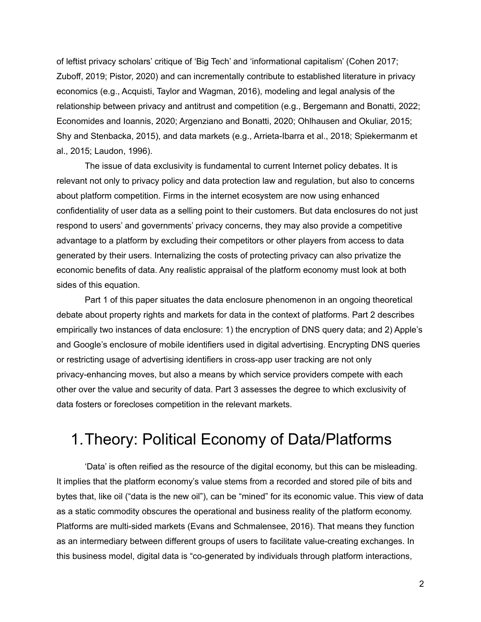of leftist privacy scholars' critique of 'Big Tech' and 'informational capitalism' (Cohen 2017; Zuboff, 2019; Pistor, 2020) and can incrementally contribute to established literature in privacy economics (e.g., Acquisti, Taylor and Wagman, 2016), modeling and legal analysis of the relationship between privacy and antitrust and competition (e.g., Bergemann and Bonatti, 2022; Economides and Ioannis, 2020; Argenziano and Bonatti, 2020; Ohlhausen and Okuliar, 2015; Shy and Stenbacka, 2015), and data markets (e.g., Arrieta-Ibarra et al., 2018; Spiekermanm et al., 2015; Laudon, 1996).

The issue of data exclusivity is fundamental to current Internet policy debates. It is relevant not only to privacy policy and data protection law and regulation, but also to concerns about platform competition. Firms in the internet ecosystem are now using enhanced confidentiality of user data as a selling point to their customers. But data enclosures do not just respond to users' and governments' privacy concerns, they may also provide a competitive advantage to a platform by excluding their competitors or other players from access to data generated by their users. Internalizing the costs of protecting privacy can also privatize the economic benefits of data. Any realistic appraisal of the platform economy must look at both sides of this equation.

Part 1 of this paper situates the data enclosure phenomenon in an ongoing theoretical debate about property rights and markets for data in the context of platforms. Part 2 describes empirically two instances of data enclosure: 1) the encryption of DNS query data; and 2) Apple's and Google's enclosure of mobile identifiers used in digital advertising. Encrypting DNS queries or restricting usage of advertising identifiers in cross-app user tracking are not only privacy-enhancing moves, but also a means by which service providers compete with each other over the value and security of data. Part 3 assesses the degree to which exclusivity of data fosters or forecloses competition in the relevant markets.

## 1.Theory: Political Economy of Data/Platforms

'Data' is often reified as the resource of the digital economy, but this can be misleading. It implies that the platform economy's value stems from a recorded and stored pile of bits and bytes that, like oil ("data is the new oil"), can be "mined" for its economic value. This view of data as a static commodity obscures the operational and business reality of the platform economy. Platforms are multi-sided markets (Evans and Schmalensee, 2016). That means they function as an intermediary between different groups of users to facilitate value-creating exchanges. In this business model, digital data is "co-generated by individuals through platform interactions,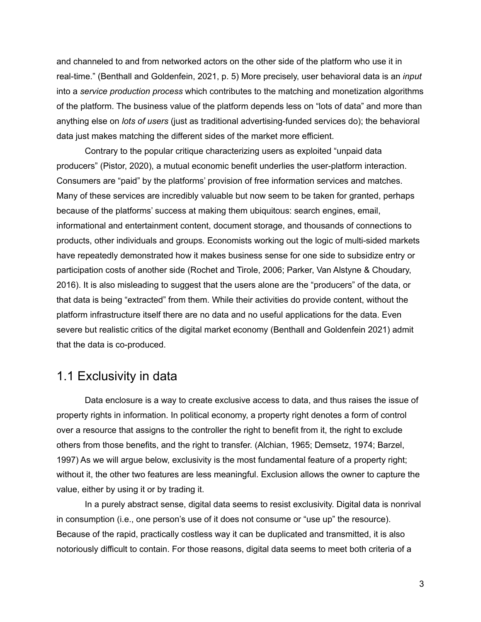and channeled to and from networked actors on the other side of the platform who use it in real-time." (Benthall and Goldenfein, 2021, p. 5) More precisely, user behavioral data is an *input* into a *service production process* which contributes to the matching and monetization algorithms of the platform. The business value of the platform depends less on "lots of data" and more than anything else on *lots of users* (just as traditional advertising-funded services do); the behavioral data just makes matching the different sides of the market more efficient.

Contrary to the popular critique characterizing users as exploited "unpaid data producers" (Pistor, 2020), a mutual economic benefit underlies the user-platform interaction. Consumers are "paid" by the platforms' provision of free information services and matches. Many of these services are incredibly valuable but now seem to be taken for granted, perhaps because of the platforms' success at making them ubiquitous: search engines, email, informational and entertainment content, document storage, and thousands of connections to products, other individuals and groups. Economists working out the logic of multi-sided markets have repeatedly demonstrated how it makes business sense for one side to subsidize entry or participation costs of another side (Rochet and Tirole, 2006; Parker, Van Alstyne & Choudary, 2016). It is also misleading to suggest that the users alone are the "producers" of the data, or that data is being "extracted" from them. While their activities do provide content, without the platform infrastructure itself there are no data and no useful applications for the data. Even severe but realistic critics of the digital market economy (Benthall and Goldenfein 2021) admit that the data is co-produced.

#### 1.1 Exclusivity in data

Data enclosure is a way to create exclusive access to data, and thus raises the issue of property rights in information. In political economy, a property right denotes a form of control over a resource that assigns to the controller the right to benefit from it, the right to exclude others from those benefits, and the right to transfer. (Alchian, 1965; Demsetz, 1974; Barzel, 1997) As we will argue below, exclusivity is the most fundamental feature of a property right; without it, the other two features are less meaningful. Exclusion allows the owner to capture the value, either by using it or by trading it.

In a purely abstract sense, digital data seems to resist exclusivity. Digital data is nonrival in consumption (i.e., one person's use of it does not consume or "use up" the resource). Because of the rapid, practically costless way it can be duplicated and transmitted, it is also notoriously difficult to contain. For those reasons, digital data seems to meet both criteria of a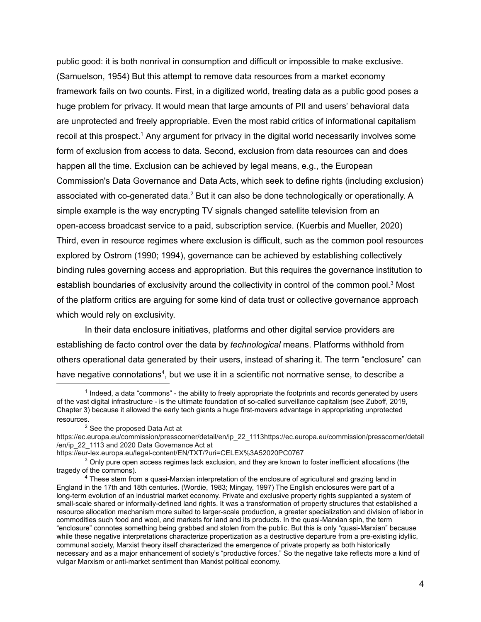public good: it is both nonrival in consumption and difficult or impossible to make exclusive. (Samuelson, 1954) But this attempt to remove data resources from a market economy framework fails on two counts. First, in a digitized world, treating data as a public good poses a huge problem for privacy. It would mean that large amounts of PII and users' behavioral data are unprotected and freely appropriable. Even the most rabid critics of informational capitalism recoil at this prospect.<sup>1</sup> Any argument for privacy in the digital world necessarily involves some form of exclusion from access to data. Second, exclusion from data resources can and does happen all the time. Exclusion can be achieved by legal means, e.g., the European Commission's Data Governance and Data Acts, which seek to define rights (including exclusion) associated with co-generated data.<sup>2</sup> But it can also be done technologically or operationally. A simple example is the way encrypting TV signals changed satellite television from an open-access broadcast service to a paid, subscription service. (Kuerbis and Mueller, 2020) Third, even in resource regimes where exclusion is difficult, such as the common pool resources explored by Ostrom (1990; 1994), governance can be achieved by establishing collectively binding rules governing access and appropriation. But this requires the governance institution to establish boundaries of exclusivity around the collectivity in control of the common pool.<sup>3</sup> Most of the platform critics are arguing for some kind of data trust or collective governance approach which would rely on exclusivity.

In their data enclosure initiatives, platforms and other digital service providers are establishing de facto control over the data by *technological* means. Platforms withhold from others operational data generated by their users, instead of sharing it. The term "enclosure" can have negative connotations<sup>4</sup>, but we use it in a scientific not normative sense, to describe a

<sup>&</sup>lt;sup>1</sup> Indeed, a data "commons" - the ability to freely appropriate the footprints and records generated by users of the vast digital infrastructure - is the ultimate foundation of so-called surveillance capitalism (see Zuboff, 2019, Chapter 3) because it allowed the early tech giants a huge first-movers advantage in appropriating unprotected resources.

<sup>&</sup>lt;sup>2</sup> See the proposed Data Act at

https://ec.europa.eu/commission/presscorner/detail/en/ip\_22\_1113https://ec.europa.eu/commission/presscorner/detail /en/ip\_22\_1113 and 2020 Data Governance Act at

https://eur-lex.europa.eu/legal-content/EN/TXT/?uri=CELEX%3A52020PC0767

 $3$  Only pure open access regimes lack exclusion, and they are known to foster inefficient allocations (the tragedy of the commons).

<sup>&</sup>lt;sup>4</sup> These stem from a quasi-Marxian interpretation of the enclosure of agricultural and grazing land in England in the 17th and 18th centuries. (Wordie, 1983; Mingay, 1997) The English enclosures were part of a long-term evolution of an industrial market economy. Private and exclusive property rights supplanted a system of small-scale shared or informally-defined land rights. It was a transformation of property structures that established a resource allocation mechanism more suited to larger-scale production, a greater specialization and division of labor in commodities such food and wool, and markets for land and its products. In the quasi-Marxian spin, the term "enclosure" connotes something being grabbed and stolen from the public. But this is only "quasi-Marxian" because while these negative interpretations characterize propertization as a destructive departure from a pre-existing idyllic, communal society, Marxist theory itself characterized the emergence of private property as both historically necessary and as a major enhancement of society's "productive forces." So the negative take reflects more a kind of vulgar Marxism or anti-market sentiment than Marxist political economy.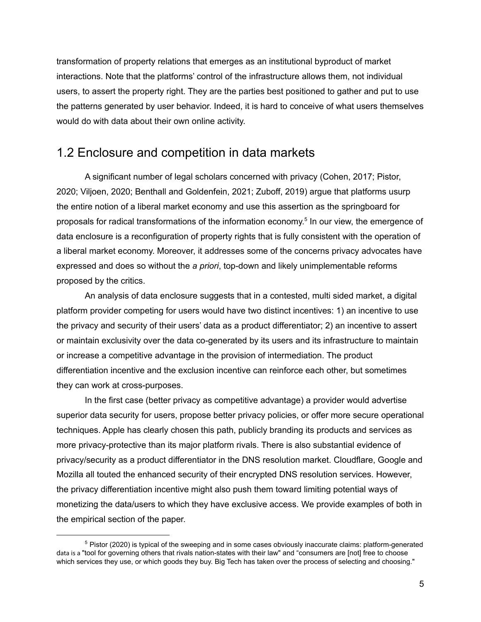transformation of property relations that emerges as an institutional byproduct of market interactions. Note that the platforms' control of the infrastructure allows them, not individual users, to assert the property right. They are the parties best positioned to gather and put to use the patterns generated by user behavior. Indeed, it is hard to conceive of what users themselves would do with data about their own online activity.

#### 1.2 Enclosure and competition in data markets

A significant number of legal scholars concerned with privacy (Cohen, 2017; Pistor, 2020; Viljoen, 2020; Benthall and Goldenfein, 2021; Zuboff, 2019) argue that platforms usurp the entire notion of a liberal market economy and use this assertion as the springboard for proposals for radical transformations of the information economy. 5 In our view, the emergence of data enclosure is a reconfiguration of property rights that is fully consistent with the operation of a liberal market economy. Moreover, it addresses some of the concerns privacy advocates have expressed and does so without the *a priori*, top-down and likely unimplementable reforms proposed by the critics.

An analysis of data enclosure suggests that in a contested, multi sided market, a digital platform provider competing for users would have two distinct incentives: 1) an incentive to use the privacy and security of their users' data as a product differentiator; 2) an incentive to assert or maintain exclusivity over the data co-generated by its users and its infrastructure to maintain or increase a competitive advantage in the provision of intermediation. The product differentiation incentive and the exclusion incentive can reinforce each other, but sometimes they can work at cross-purposes.

In the first case (better privacy as competitive advantage) a provider would advertise superior data security for users, propose better privacy policies, or offer more secure operational techniques. Apple has clearly chosen this path, publicly branding its products and services as more privacy-protective than its major platform rivals. There is also substantial evidence of privacy/security as a product differentiator in the DNS resolution market. Cloudflare, Google and Mozilla all touted the enhanced security of their encrypted DNS resolution services. However, the privacy differentiation incentive might also push them toward limiting potential ways of monetizing the data/users to which they have exclusive access. We provide examples of both in the empirical section of the paper.

<sup>5</sup> Pistor (2020) is typical of the sweeping and in some cases obviously inaccurate claims: platform-generated data is a "tool for governing others that rivals nation-states with their law" and "consumers are [not] free to choose which services they use, or which goods they buy. Big Tech has taken over the process of selecting and choosing."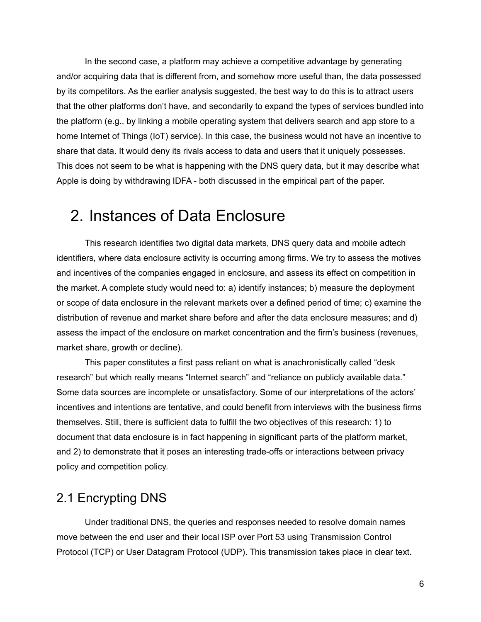In the second case, a platform may achieve a competitive advantage by generating and/or acquiring data that is different from, and somehow more useful than, the data possessed by its competitors. As the earlier analysis suggested, the best way to do this is to attract users that the other platforms don't have, and secondarily to expand the types of services bundled into the platform (e.g., by linking a mobile operating system that delivers search and app store to a home Internet of Things (IoT) service). In this case, the business would not have an incentive to share that data. It would deny its rivals access to data and users that it uniquely possesses. This does not seem to be what is happening with the DNS query data, but it may describe what Apple is doing by withdrawing IDFA - both discussed in the empirical part of the paper.

## 2. Instances of Data Enclosure

This research identifies two digital data markets, DNS query data and mobile adtech identifiers, where data enclosure activity is occurring among firms. We try to assess the motives and incentives of the companies engaged in enclosure, and assess its effect on competition in the market. A complete study would need to: a) identify instances; b) measure the deployment or scope of data enclosure in the relevant markets over a defined period of time; c) examine the distribution of revenue and market share before and after the data enclosure measures; and d) assess the impact of the enclosure on market concentration and the firm's business (revenues, market share, growth or decline).

This paper constitutes a first pass reliant on what is anachronistically called "desk research" but which really means "Internet search" and "reliance on publicly available data." Some data sources are incomplete or unsatisfactory. Some of our interpretations of the actors' incentives and intentions are tentative, and could benefit from interviews with the business firms themselves. Still, there is sufficient data to fulfill the two objectives of this research: 1) to document that data enclosure is in fact happening in significant parts of the platform market, and 2) to demonstrate that it poses an interesting trade-offs or interactions between privacy policy and competition policy.

#### 2.1 Encrypting DNS

Under traditional DNS, the queries and responses needed to resolve domain names move between the end user and their local ISP over Port 53 using Transmission Control Protocol (TCP) or User Datagram Protocol (UDP). This transmission takes place in clear text.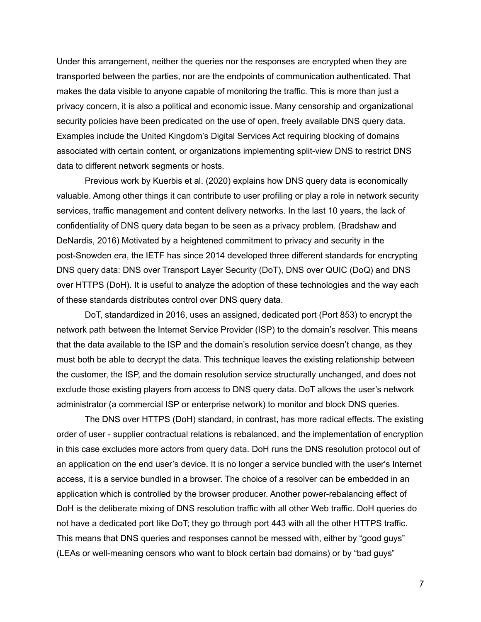Under this arrangement, neither the queries nor the responses are encrypted when they are transported between the parties, nor are the endpoints of communication authenticated. That makes the data visible to anyone capable of monitoring the traffic. This is more than just a privacy concern, it is also a political and economic issue. Many censorship and organizational security policies have been predicated on the use of open, freely available DNS query data. Examples include the United Kingdom's Digital Services Act requiring blocking of domains associated with certain content, or organizations implementing split-view DNS to restrict DNS data to different network segments or hosts.

Previous work by Kuerbis et al. (2020) explains how DNS query data is economically valuable. Among other things it can contribute to user profiling or play a role in network security services, traffic management and content delivery networks. In the last 10 years, the lack of confidentiality of DNS query data began to be seen as a privacy problem. (Bradshaw and DeNardis, 2016) Motivated by a heightened commitment to privacy and security in the post-Snowden era, the IETF has since 2014 developed three different standards for encrypting DNS query data: DNS over Transport Layer Security (DoT), DNS over QUIC (DoQ) and DNS over HTTPS (DoH). It is useful to analyze the adoption of these technologies and the way each of these standards distributes control over DNS query data.

DoT, standardized in 2016, uses an assigned, dedicated port (Port 853) to encrypt the network path between the Internet Service Provider (ISP) to the domain's resolver. This means that the data available to the ISP and the domain's resolution service doesn't change, as they must both be able to decrypt the data. This technique leaves the existing relationship between the customer, the ISP, and the domain resolution service structurally unchanged, and does not exclude those existing players from access to DNS query data. DoT allows the user's network administrator (a commercial ISP or enterprise network) to monitor and block DNS queries.

The DNS over HTTPS (DoH) standard, in contrast, has more radical effects. The existing order of user - supplier contractual relations is rebalanced, and the implementation of encryption in this case excludes more actors from query data. DoH runs the DNS resolution protocol out of an application on the end user's device. It is no longer a service bundled with the user's Internet access, it is a service bundled in a browser. The choice of a resolver can be embedded in an application which is controlled by the browser producer. Another power-rebalancing effect of DoH is the deliberate mixing of DNS resolution traffic with all other Web traffic. DoH queries do not have a dedicated port like DoT; they go through port 443 with all the other HTTPS traffic. This means that DNS queries and responses cannot be messed with, either by "good guys" (LEAs or well-meaning censors who want to block certain bad domains) or by "bad guys"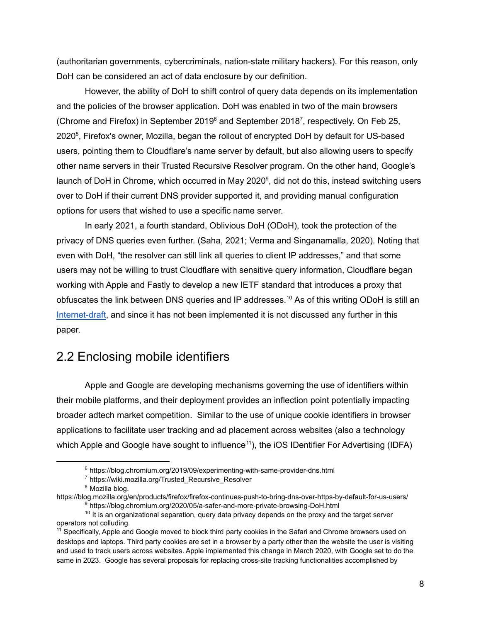(authoritarian governments, cybercriminals, nation-state military hackers). For this reason, only DoH can be considered an act of data enclosure by our definition.

However, the ability of DoH to shift control of query data depends on its implementation and the policies of the browser application. DoH was enabled in two of the main browsers (Chrome and Firefox) in September 2019 $^6$  and September 2018<sup>7</sup>, respectively. On Feb 25, 2020<sup>8</sup>, Firefox's owner, Mozilla, began the rollout of encrypted DoH by default for US-based users, pointing them to Cloudflare's name server by default, but also allowing users to specify other name servers in their Trusted Recursive Resolver program. On the other hand, Google's launch of DoH in Chrome, which occurred in May 2020<sup>9</sup>, did not do this, instead switching users over to DoH if their current DNS provider supported it, and providing manual configuration options for users that wished to use a specific name server.

In early 2021, a fourth standard, Oblivious DoH (ODoH), took the protection of the privacy of DNS queries even further. (Saha, 2021; Verma and Singanamalla, 2020). Noting that even with DoH, "the resolver can still link all queries to client IP addresses," and that some users may not be willing to trust Cloudflare with sensitive query information, Cloudflare began working with Apple and Fastly to develop a new IETF standard that introduces a proxy that obfuscates the link between DNS queries and IP addresses.<sup>10</sup> As of this writing ODoH is still an [Internet-draft,](https://www.ietf.org/archive/id/draft-pauly-dprive-oblivious-doh-04.html) and since it has not been implemented it is not discussed any further in this paper.

#### 2.2 Enclosing mobile identifiers

Apple and Google are developing mechanisms governing the use of identifiers within their mobile platforms, and their deployment provides an inflection point potentially impacting broader adtech market competition. Similar to the use of unique cookie identifiers in browser applications to facilitate user tracking and ad placement across websites (also a technology which Apple and Google have sought to influence<sup>11</sup>), the iOS IDentifier For Advertising (IDFA)

<sup>6</sup> https://blog.chromium.org/2019/09/experimenting-with-same-provider-dns.html

<sup>7</sup> https://wiki.mozilla.org/Trusted\_Recursive\_Resolver

<sup>&</sup>lt;sup>8</sup> Mozilla blog.

<sup>&</sup>lt;sup>9</sup> https://blog.chromium.org/2020/05/a-safer-and-more-private-browsing-DoH.html https://blog.mozilla.org/en/products/firefox/firefox-continues-push-to-bring-dns-over-https-by-default-for-us-users/

 $10$  It is an organizational separation, query data privacy depends on the proxy and the target server operators not colluding.

<sup>&</sup>lt;sup>11</sup> Specifically, Apple and Google moved to block third party cookies in the Safari and Chrome browsers used on desktops and laptops. Third party cookies are set in a browser by a party other than the website the user is visiting and used to track users across websites. Apple implemented this change in March 2020, with Google set to do the same in 2023. Google has several proposals for replacing cross-site tracking functionalities accomplished by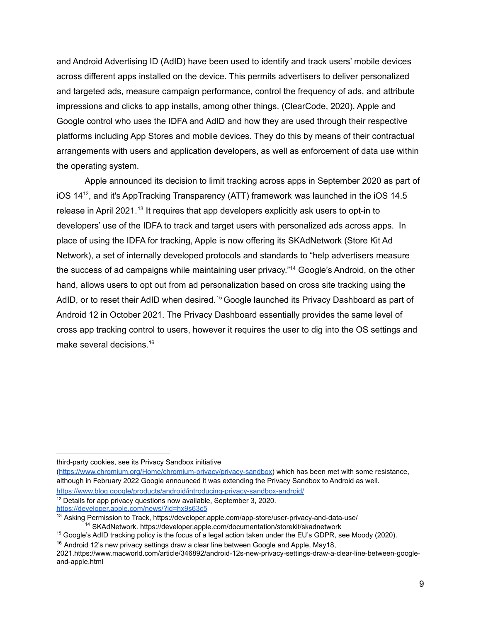and Android Advertising ID (AdID) have been used to identify and track users' mobile devices across different apps installed on the device. This permits advertisers to deliver personalized and targeted ads, measure campaign performance, control the frequency of ads, and attribute impressions and clicks to app installs, among other things. (ClearCode, 2020). Apple and Google control who uses the IDFA and AdID and how they are used through their respective platforms including App Stores and mobile devices. They do this by means of their contractual arrangements with users and application developers, as well as enforcement of data use within the operating system.

Apple announced its decision to limit tracking across apps in September 2020 as part of iOS 14 12 , and it's AppTracking Transparency (ATT) framework was launched in the iOS 14.5 release in April 2021.<sup>13</sup> It requires that app developers explicitly ask users to opt-in to developers' use of the IDFA to track and target users with personalized ads across apps. In place of using the IDFA for tracking, Apple is now offering its SKAdNetwork (Store Kit Ad Network), a set of internally developed protocols and standards to "help advertisers measure the success of ad campaigns while maintaining user privacy."<sup>14</sup> Google's Android, on the other hand, allows users to opt out from ad personalization based on cross site tracking using the AdID, or to reset their AdID when desired.<sup>15</sup> Google launched its Privacy Dashboard as part of Android 12 in October 2021. The Privacy Dashboard essentially provides the same level of cross app tracking control to users, however it requires the user to dig into the OS settings and make several decisions. 16

third-party cookies, see its Privacy Sandbox initiative

([https://www.chromium.org/Home/chromium-privacy/privacy-sandbox\)](https://www.chromium.org/Home/chromium-privacy/privacy-sandbox) which has been met with some resistance, although in February 2022 Google announced it was extending the Privacy Sandbox to Android as well.

- <https://www.blog.google/products/android/introducing-privacy-sandbox-android/>
- <sup>12</sup> Details for app privacy questions now available, September 3, 2020.

<https://developer.apple.com/news/?id=hx9s63c5>

<sup>&</sup>lt;sup>14</sup> SKAdNetwork. https://developer.apple.com/documentation/storekit/skadnetwork <sup>13</sup> Asking Permission to Track, https://developer.apple.com/app-store/user-privacy-and-data-use/

<sup>&</sup>lt;sup>15</sup> Google's AdID tracking policy is the focus of a legal action taken under the EU's GDPR, see Moody (2020).

 $16$  Android 12's new privacy settings draw a clear line between Google and Apple, May18,

<sup>2021.</sup>https://www.macworld.com/article/346892/android-12s-new-privacy-settings-draw-a-clear-line-between-googleand-apple.html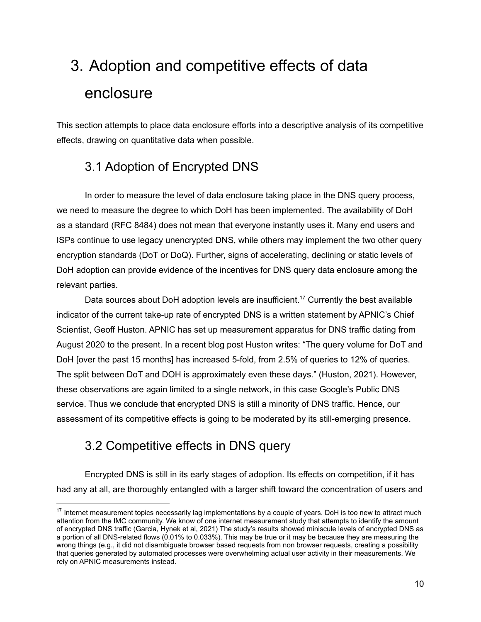## 3. Adoption and competitive effects of data enclosure

This section attempts to place data enclosure efforts into a descriptive analysis of its competitive effects, drawing on quantitative data when possible.

## 3.1 Adoption of Encrypted DNS

In order to measure the level of data enclosure taking place in the DNS query process, we need to measure the degree to which DoH has been implemented. The availability of DoH as a standard (RFC 8484) does not mean that everyone instantly uses it. Many end users and ISPs continue to use legacy unencrypted DNS, while others may implement the two other query encryption standards (DoT or DoQ). Further, signs of accelerating, declining or static levels of DoH adoption can provide evidence of the incentives for DNS query data enclosure among the relevant parties.

Data sources about DoH adoption levels are insufficient.<sup>17</sup> Currently the best available indicator of the current take-up rate of encrypted DNS is a written statement by APNIC's Chief Scientist, Geoff Huston. APNIC has set up measurement apparatus for DNS traffic dating from August 2020 to the present. In a recent blog post Huston writes: "The query volume for DoT and DoH [over the past 15 months] has increased 5-fold, from 2.5% of queries to 12% of queries. The split between DoT and DOH is approximately even these days." (Huston, 2021). However, these observations are again limited to a single network, in this case Google's Public DNS service. Thus we conclude that encrypted DNS is still a minority of DNS traffic. Hence, our assessment of its competitive effects is going to be moderated by its still-emerging presence.

## 3.2 Competitive effects in DNS query

Encrypted DNS is still in its early stages of adoption. Its effects on competition, if it has had any at all, are thoroughly entangled with a larger shift toward the concentration of users and

<sup>&</sup>lt;sup>17</sup> Internet measurement topics necessarily lag implementations by a couple of years. DoH is too new to attract much attention from the IMC community. We know of one internet measurement study that attempts to identify the amount of encrypted DNS traffic (Garcia, Hynek et al, 2021) The study's results showed miniscule levels of encrypted DNS as a portion of all DNS-related flows (0.01% to 0.033%). This may be true or it may be because they are measuring the wrong things (e.g., it did not disambiguate browser based requests from non browser requests, creating a possibility that queries generated by automated processes were overwhelming actual user activity in their measurements. We rely on APNIC measurements instead.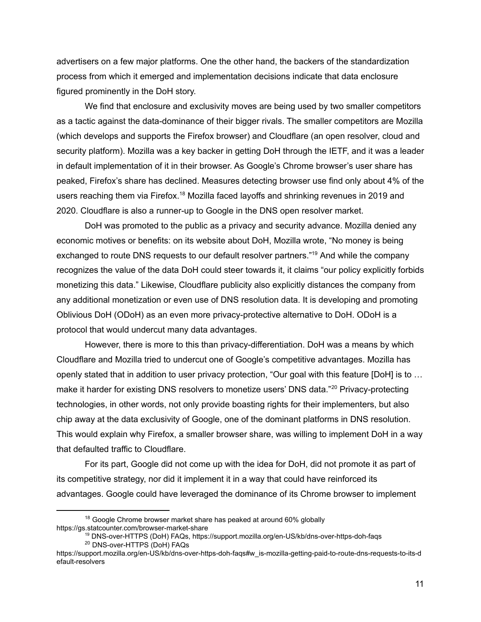advertisers on a few major platforms. One the other hand, the backers of the standardization process from which it emerged and implementation decisions indicate that data enclosure figured prominently in the DoH story.

We find that enclosure and exclusivity moves are being used by two smaller competitors as a tactic against the data-dominance of their bigger rivals. The smaller competitors are Mozilla (which develops and supports the Firefox browser) and Cloudflare (an open resolver, cloud and security platform). Mozilla was a key backer in getting DoH through the IETF, and it was a leader in default implementation of it in their browser. As Google's Chrome browser's user share has peaked, Firefox's share has declined. Measures detecting browser use find only about 4% of the users reaching them via Firefox.<sup>18</sup> Mozilla faced layoffs and shrinking revenues in 2019 and 2020. Cloudflare is also a runner-up to Google in the DNS open resolver market.

DoH was promoted to the public as a privacy and security advance. Mozilla denied any economic motives or benefits: on its website about DoH, Mozilla wrote, "No money is being exchanged to route DNS requests to our default resolver partners."<sup>19</sup> And while the company recognizes the value of the data DoH could steer towards it, it claims "our policy explicitly forbids monetizing this data." Likewise, Cloudflare publicity also explicitly distances the company from any additional monetization or even use of DNS resolution data. It is developing and promoting Oblivious DoH (ODoH) as an even more privacy-protective alternative to DoH. ODoH is a protocol that would undercut many data advantages.

However, there is more to this than privacy-differentiation. DoH was a means by which Cloudflare and Mozilla tried to undercut one of Google's competitive advantages. Mozilla has openly stated that in addition to user privacy protection, "Our goal with this feature [DoH] is to … make it harder for existing DNS resolvers to monetize users' DNS data."<sup>20</sup> Privacy-protecting technologies, in other words, not only provide boasting rights for their implementers, but also chip away at the data exclusivity of Google, one of the dominant platforms in DNS resolution. This would explain why Firefox, a smaller browser share, was willing to implement DoH in a way that defaulted traffic to Cloudflare.

For its part, Google did not come up with the idea for DoH, did not promote it as part of its competitive strategy, nor did it implement it in a way that could have reinforced its advantages. Google could have leveraged the dominance of its Chrome browser to implement

 $18$  Google Chrome browser market share has peaked at around 60% globally https://gs.statcounter.com/browser-market-share

<sup>20</sup> DNS-over-HTTPS (DoH) FAQs <sup>19</sup> DNS-over-HTTPS (DoH) FAQs, https://support.mozilla.org/en-US/kb/dns-over-https-doh-faqs

https://support.mozilla.org/en-US/kb/dns-over-https-doh-faqs#w\_is-mozilla-getting-paid-to-route-dns-requests-to-its-d efault-resolvers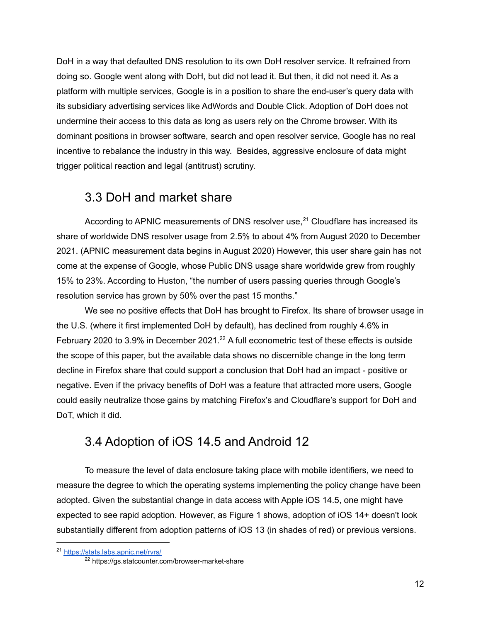DoH in a way that defaulted DNS resolution to its own DoH resolver service. It refrained from doing so. Google went along with DoH, but did not lead it. But then, it did not need it. As a platform with multiple services, Google is in a position to share the end-user's query data with its subsidiary advertising services like AdWords and Double Click. Adoption of DoH does not undermine their access to this data as long as users rely on the Chrome browser. With its dominant positions in browser software, search and open resolver service, Google has no real incentive to rebalance the industry in this way. Besides, aggressive enclosure of data might trigger political reaction and legal (antitrust) scrutiny.

#### 3.3 DoH and market share

According to APNIC measurements of DNS resolver use,<sup>21</sup> Cloudflare has increased its share of worldwide DNS resolver usage from 2.5% to about 4% from August 2020 to December 2021. (APNIC measurement data begins in August 2020) However, this user share gain has not come at the expense of Google, whose Public DNS usage share worldwide grew from roughly 15% to 23%. According to Huston, "the number of users passing queries through Google's resolution service has grown by 50% over the past 15 months."

We see no positive effects that DoH has brought to Firefox. Its share of browser usage in the U.S. (where it first implemented DoH by default), has declined from roughly 4.6% in February 2020 to 3.9% in December 2021.<sup>22</sup> A full econometric test of these effects is outside the scope of this paper, but the available data shows no discernible change in the long term decline in Firefox share that could support a conclusion that DoH had an impact - positive or negative. Even if the privacy benefits of DoH was a feature that attracted more users, Google could easily neutralize those gains by matching Firefox's and Cloudflare's support for DoH and DoT, which it did.

### 3.4 Adoption of iOS 14.5 and Android 12

To measure the level of data enclosure taking place with mobile identifiers, we need to measure the degree to which the operating systems implementing the policy change have been adopted. Given the substantial change in data access with Apple iOS 14.5, one might have expected to see rapid adoption. However, as Figure 1 shows, adoption of iOS 14+ doesn't look substantially different from adoption patterns of iOS 13 (in shades of red) or previous versions.

<sup>&</sup>lt;sup>21</sup> [https://stats.labs.apnic.net/rvrs/](https://stats.labs.apnic.net/rvrs/XC?hc=XC&hl=1&hs=0&ht=0&hx=4%2C11%2C15%2C17%2C19&w=5&t=0&x15=0)

<sup>&</sup>lt;sup>22</sup> https://gs.statcounter.com/browser-market-share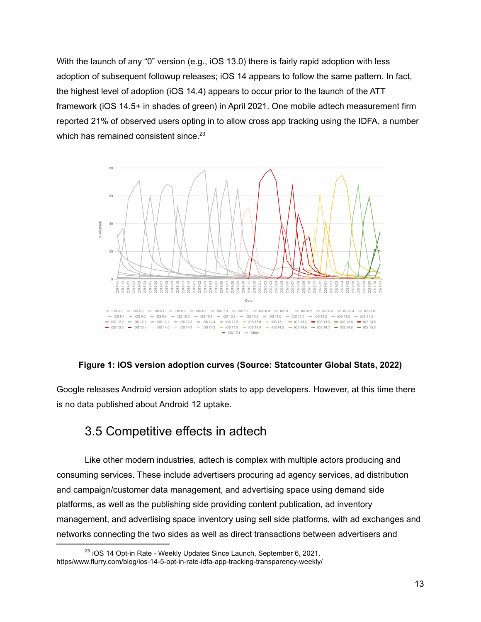With the launch of any "0" version (e.g., iOS 13.0) there is fairly rapid adoption with less adoption of subsequent followup releases; iOS 14 appears to follow the same pattern. In fact, the highest level of adoption (iOS 14.4) appears to occur prior to the launch of the ATT framework (iOS 14.5+ in shades of green) in April 2021. One mobile adtech measurement firm reported 21% of observed users opting in to allow cross app tracking using the IDFA, a number which has remained consistent since.<sup>23</sup>



#### **Figure 1: iOS version adoption curves (Source: Statcounter Global Stats, 2022)**

Google releases Android version adoption stats to app developers. However, at this time there is no data published about Android 12 uptake.

#### 3.5 Competitive effects in adtech

Like other modern industries, adtech is complex with multiple actors producing and consuming services. These include advertisers procuring ad agency services, ad distribution and campaign/customer data management, and advertising space using demand side platforms, as well as the publishing side providing content publication, ad inventory management, and advertising space inventory using sell side platforms, with ad exchanges and networks connecting the two sides as well as direct transactions between advertisers and

<sup>&</sup>lt;sup>23</sup> iOS 14 Opt-in Rate - Weekly Updates Since Launch, September 6, 2021. https/www.flurry.com/blog/ios-14-5-opt-in-rate-idfa-app-tracking-transparency-weekly/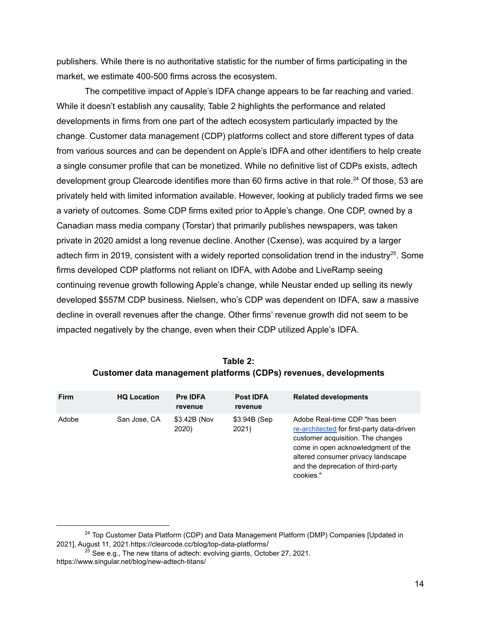publishers. While there is no authoritative statistic for the number of firms participating in the market, we estimate 400-500 firms across the ecosystem.

The competitive impact of Apple's IDFA change appears to be far reaching and varied. While it doesn't establish any causality, Table 2 highlights the performance and related developments in firms from one part of the adtech ecosystem particularly impacted by the change. Customer data management (CDP) platforms collect and store different types of data from various sources and can be dependent on Apple's IDFA and other identifiers to help create a single consumer profile that can be monetized. While no definitive list of CDPs exists, adtech development group Clearcode identifies more than 60 firms active in that role.<sup>24</sup> Of those, 53 are privately held with limited information available. However, looking at publicly traded firms we see a variety of outcomes. Some CDP firms exited prior to Apple's change. One CDP, owned by a Canadian mass media company (Torstar) that primarily publishes newspapers, was taken private in 2020 amidst a long revenue decline. Another (Cxense), was acquired by a larger adtech firm in 2019, consistent with a widely reported consolidation trend in the industry<sup>25</sup>. Some firms developed CDP platforms not reliant on IDFA, with Adobe and LiveRamp seeing continuing revenue growth following Apple's change, while Neustar ended up selling its newly developed \$557M CDP business. Nielsen, who's CDP was dependent on IDFA, saw a massive decline in overall revenues after the change. Other firms' revenue growth did not seem to be impacted negatively by the change, even when their CDP utilized Apple's IDFA.

| <b>Firm</b> | <b>HQ Location</b> | <b>Pre IDFA</b><br>revenue | <b>Post IDFA</b><br>revenue | <b>Related developments</b>                                                                                                                                                                                                                     |
|-------------|--------------------|----------------------------|-----------------------------|-------------------------------------------------------------------------------------------------------------------------------------------------------------------------------------------------------------------------------------------------|
| Adobe       | San Jose, CA       | \$3.42B (Nov<br>2020)      | \$3.94B (Sep<br>2021)       | Adobe Real-time CDP "has been<br>re-architected for first-party data-driven<br>customer acquisition. The changes<br>come in open acknowledgment of the<br>altered consumer privacy landscape<br>and the deprecation of third-party<br>cookies." |

| Table 2:                                                         |  |  |  |  |  |
|------------------------------------------------------------------|--|--|--|--|--|
| Customer data management platforms (CDPs) revenues, developments |  |  |  |  |  |

<sup>&</sup>lt;sup>24</sup> Top Customer Data Platform (CDP) and Data Management Platform (DMP) Companies [Updated in 2021], August 11, 2021.https://clearcode.cc/blog/top-data-platforms/

 $^{25}$  See e.g., The new titans of adtech: evolving giants, October 27, 2021. https://www.singular.net/blog/new-adtech-titans/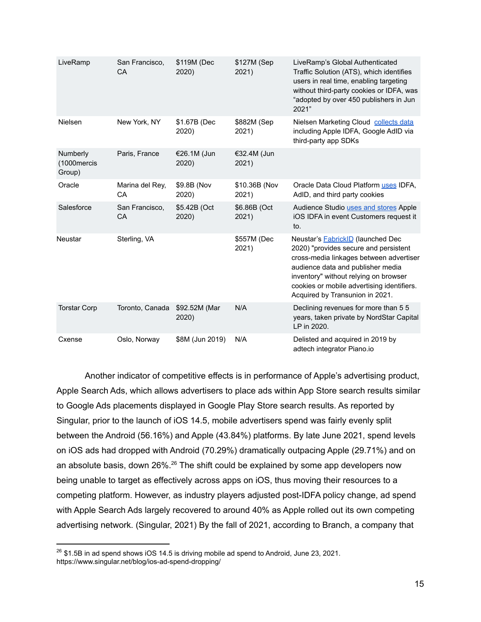| LiveRamp                          | San Francisco,<br>CA        | \$119M (Dec<br>2020)   | \$127M (Sep<br>2021)   | LiveRamp's Global Authenticated<br>Traffic Solution (ATS), which identifies<br>users in real time, enabling targeting<br>without third-party cookies or IDFA, was<br>"adopted by over 450 publishers in Jun<br>2021"                                                                        |
|-----------------------------------|-----------------------------|------------------------|------------------------|---------------------------------------------------------------------------------------------------------------------------------------------------------------------------------------------------------------------------------------------------------------------------------------------|
| Nielsen                           | New York, NY                | \$1.67B (Dec<br>2020)  | \$882M (Sep<br>2021)   | Nielsen Marketing Cloud collects data<br>including Apple IDFA, Google AdID via<br>third-party app SDKs                                                                                                                                                                                      |
| Numberly<br>(1000mercis<br>Group) | Paris, France               | €26.1M (Jun<br>2020)   | €32.4M (Jun<br>2021)   |                                                                                                                                                                                                                                                                                             |
| Oracle                            | Marina del Rey,<br>CA       | \$9.8B (Nov<br>2020)   | \$10.36B (Nov<br>2021) | Oracle Data Cloud Platform uses IDFA,<br>AdID, and third party cookies                                                                                                                                                                                                                      |
| Salesforce                        | San Francisco,<br><b>CA</b> | \$5.42B (Oct<br>2020)  | \$6.86B (Oct<br>2021)  | Audience Studio uses and stores Apple<br>iOS IDFA in event Customers request it<br>to.                                                                                                                                                                                                      |
| Neustar                           | Sterling, VA                |                        | \$557M (Dec<br>2021)   | Neustar's <b>FabrickID</b> (launched Dec<br>2020) "provides secure and persistent<br>cross-media linkages between advertiser<br>audience data and publisher media<br>inventory" without relying on browser<br>cookies or mobile advertising identifiers.<br>Acquired by Transunion in 2021. |
| <b>Torstar Corp</b>               | Toronto, Canada             | \$92.52M (Mar<br>2020) | N/A                    | Declining revenues for more than 5 5<br>years, taken private by NordStar Capital<br>LP in 2020.                                                                                                                                                                                             |
| Cxense                            | Oslo, Norway                | \$8M (Jun 2019)        | N/A                    | Delisted and acquired in 2019 by<br>adtech integrator Piano.io                                                                                                                                                                                                                              |

Another indicator of competitive effects is in performance of Apple's advertising product, Apple Search Ads, which allows advertisers to place ads within App Store search results similar to Google Ads placements displayed in Google Play Store search results. As reported by Singular, prior to the launch of iOS 14.5, mobile advertisers spend was fairly evenly split between the Android (56.16%) and Apple (43.84%) platforms. By late June 2021, spend levels on iOS ads had dropped with Android (70.29%) dramatically outpacing Apple (29.71%) and on an absolute basis, down 26%.<sup>26</sup> The shift could be explained by some app developers now being unable to target as effectively across apps on iOS, thus moving their resources to a competing platform. However, as industry players adjusted post-IDFA policy change, ad spend with Apple Search Ads largely recovered to around 40% as Apple rolled out its own competing advertising network. (Singular, 2021) By the fall of 2021, according to Branch, a company that

 $26$  \$1.5B in ad spend shows iOS 14.5 is driving mobile ad spend to Android, June 23, 2021. https://www.singular.net/blog/ios-ad-spend-dropping/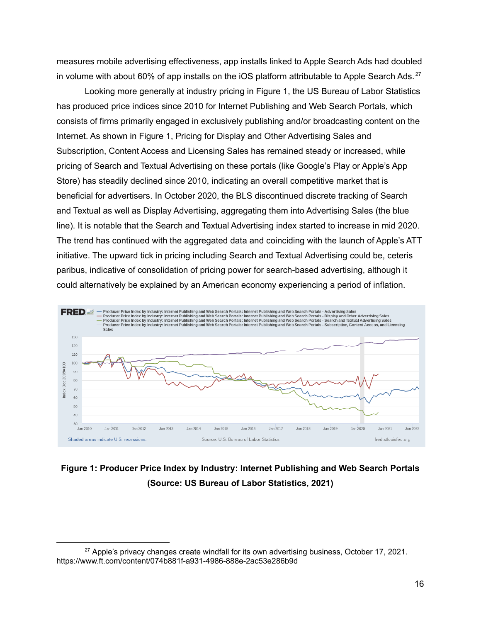measures mobile advertising effectiveness, app installs linked to Apple Search Ads had doubled in volume with about 60% of app installs on the iOS platform attributable to Apple Search Ads.<sup>27</sup>

Looking more generally at industry pricing in Figure 1, the US Bureau of Labor Statistics has produced price indices since 2010 for Internet Publishing and Web Search Portals, which consists of firms primarily engaged in exclusively publishing and/or broadcasting content on the Internet. As shown in Figure 1, Pricing for Display and Other Advertising Sales and Subscription, Content Access and Licensing Sales has remained steady or increased, while pricing of Search and Textual Advertising on these portals (like Google's Play or Apple's App Store) has steadily declined since 2010, indicating an overall competitive market that is beneficial for advertisers. In October 2020, the BLS discontinued discrete tracking of Search and Textual as well as Display Advertising, aggregating them into Advertising Sales (the blue line). It is notable that the Search and Textual Advertising index started to increase in mid 2020. The trend has continued with the aggregated data and coinciding with the launch of Apple's ATT initiative. The upward tick in pricing including Search and Textual Advertising could be, ceteris paribus, indicative of consolidation of pricing power for search-based advertising, although it could alternatively be explained by an American economy experiencing a period of inflation.



#### **Figure 1: Producer Price Index by Industry: Internet Publishing and Web Search Portals (Source: US Bureau of Labor Statistics, 2021)**

 $27$  Apple's privacy changes create windfall for its own advertising business, October 17, 2021. https://www.ft.com/content/074b881f-a931-4986-888e-2ac53e286b9d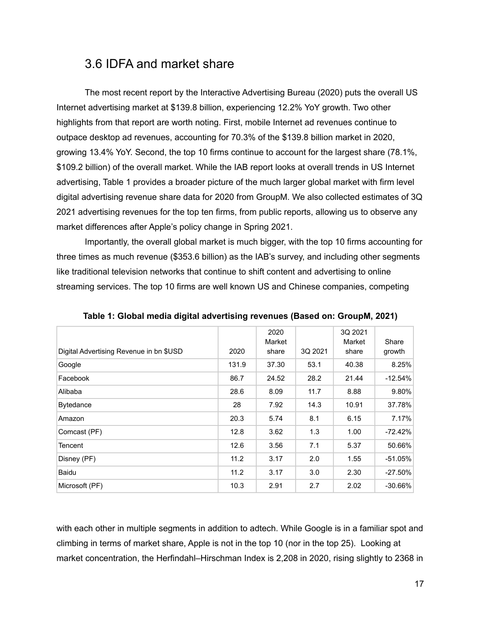#### 3.6 IDFA and market share

The most recent report by the Interactive Advertising Bureau (2020) puts the overall US Internet advertising market at \$139.8 billion, experiencing 12.2% YoY growth. Two other highlights from that report are worth noting. First, mobile Internet ad revenues continue to outpace desktop ad revenues, accounting for 70.3% of the \$139.8 billion market in 2020, growing 13.4% YoY. Second, the top 10 firms continue to account for the largest share (78.1%, \$109.2 billion) of the overall market. While the IAB report looks at overall trends in US Internet advertising, Table 1 provides a broader picture of the much larger global market with firm level digital advertising revenue share data for 2020 from GroupM. We also collected estimates of 3Q 2021 advertising revenues for the top ten firms, from public reports, allowing us to observe any market differences after Apple's policy change in Spring 2021.

Importantly, the overall global market is much bigger, with the top 10 firms accounting for three times as much revenue (\$353.6 billion) as the IAB's survey, and including other segments like traditional television networks that continue to shift content and advertising to online streaming services. The top 10 firms are well known US and Chinese companies, competing

| Digital Advertising Revenue in bn \$USD | 2020  | 2020<br>Market<br>share | 3Q 2021 | 3Q 2021<br>Market<br>share | Share<br>growth |
|-----------------------------------------|-------|-------------------------|---------|----------------------------|-----------------|
| Google                                  | 131.9 | 37.30                   | 53.1    | 40.38                      | 8.25%           |
| Facebook                                | 86.7  | 24.52                   | 28.2    | 21.44                      | $-12.54%$       |
| Alibaba                                 | 28.6  | 8.09                    | 11.7    | 8.88                       | 9.80%           |
| <b>Bytedance</b>                        | 28    | 7.92                    | 14.3    | 10.91                      | 37.78%          |
| Amazon                                  | 20.3  | 5.74                    | 8.1     | 6.15                       | 7.17%           |
| Comcast (PF)                            | 12.8  | 3.62                    | 1.3     | 1.00                       | $-72.42%$       |
| Tencent                                 | 12.6  | 3.56                    | 7.1     | 5.37                       | 50.66%          |
| Disney (PF)                             | 11.2  | 3.17                    | 2.0     | 1.55                       | $-51.05%$       |
| Baidu                                   | 11.2  | 3.17                    | 3.0     | 2.30                       | $-27.50%$       |
| Microsoft (PF)                          | 10.3  | 2.91                    | 2.7     | 2.02                       | $-30.66\%$      |

**Table 1: Global media digital advertising revenues (Based on: GroupM, 2021)**

with each other in multiple segments in addition to adtech. While Google is in a familiar spot and climbing in terms of market share, Apple is not in the top 10 (nor in the top 25). Looking at market concentration, the Herfindahl–Hirschman Index is 2,208 in 2020, rising slightly to 2368 in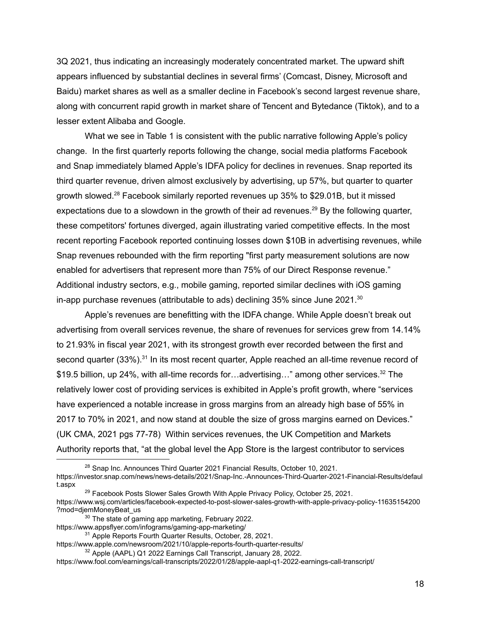3Q 2021, thus indicating an increasingly moderately concentrated market. The upward shift appears influenced by substantial declines in several firms' (Comcast, Disney, Microsoft and Baidu) market shares as well as a smaller decline in Facebook's second largest revenue share, along with concurrent rapid growth in market share of Tencent and Bytedance (Tiktok), and to a lesser extent Alibaba and Google.

What we see in Table 1 is consistent with the public narrative following Apple's policy change. In the first quarterly reports following the change, social media platforms Facebook and Snap immediately blamed Apple's IDFA policy for declines in revenues. Snap reported its third quarter revenue, driven almost exclusively by advertising, up 57%, but quarter to quarter growth slowed. <sup>28</sup> Facebook similarly reported revenues up 35% to \$29.01B, but it missed expectations due to a slowdown in the growth of their ad revenues.<sup>29</sup> By the following quarter, these competitors' fortunes diverged, again illustrating varied competitive effects. In the most recent reporting Facebook reported continuing losses down \$10B in advertising revenues, while Snap revenues rebounded with the firm reporting "first party measurement solutions are now enabled for advertisers that represent more than 75% of our Direct Response revenue." Additional industry sectors, e.g., mobile gaming, reported similar declines with iOS gaming in-app purchase revenues (attributable to ads) declining 35% since June 2021. $^{30}$ 

Apple's revenues are benefitting with the IDFA change. While Apple doesn't break out advertising from overall services revenue, the share of revenues for services grew from 14.14% to 21.93% in fiscal year 2021, with its strongest growth ever recorded between the first and second quarter (33%).<sup>31</sup> In its most recent quarter, Apple reached an all-time revenue record of \$19.5 billion, up 24%, with all-time records for...advertising..." among other services.<sup>32</sup> The relatively lower cost of providing services is exhibited in Apple's profit growth, where "services have experienced a notable increase in gross margins from an already high base of 55% in 2017 to 70% in 2021, and now stand at double the size of gross margins earned on Devices." (UK CMA, 2021 pgs 77-78) Within services revenues, the UK Competition and Markets Authority reports that, "at the global level the App Store is the largest contributor to services

- <sup>29</sup> Facebook Posts Slower Sales Growth With Apple Privacy Policy, October 25, 2021. https://www.wsj.com/articles/facebook-expected-to-post-slower-sales-growth-with-apple-privacy-policy-11635154200 ?mod=djemMoneyBeat\_us
	- <sup>30</sup> The state of gaming app marketing, February 2022.
- https://www.appsflyer.com/infograms/gaming-app-marketing/

<sup>&</sup>lt;sup>28</sup> Snap Inc. Announces Third Quarter 2021 Financial Results, October 10, 2021. https://investor.snap.com/news/news-details/2021/Snap-Inc.-Announces-Third-Quarter-2021-Financial-Results/defaul t.aspx

<sup>31</sup> Apple Reports Fourth Quarter Results, October, 28, 2021.

https://www.apple.com/newsroom/2021/10/apple-reports-fourth-quarter-results/

<sup>32</sup> Apple (AAPL) Q1 2022 Earnings Call Transcript, January 28, 2022.

https://www.fool.com/earnings/call-transcripts/2022/01/28/apple-aapl-q1-2022-earnings-call-transcript/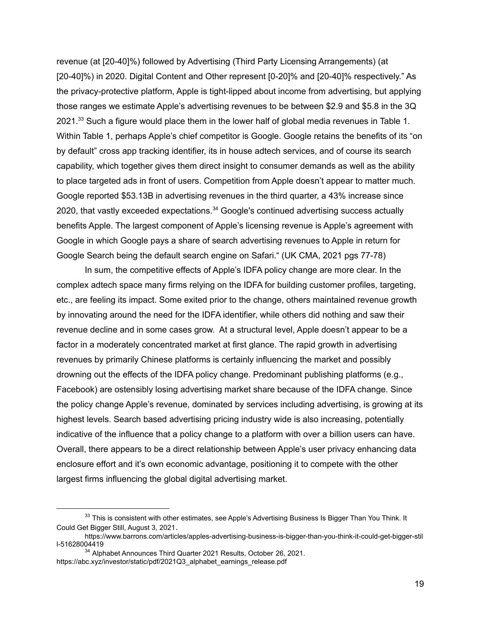revenue (at [20-40]%) followed by Advertising (Third Party Licensing Arrangements) (at [20-40]%) in 2020. Digital Content and Other represent [0-20]% and [20-40]% respectively." As the privacy-protective platform, Apple is tight-lipped about income from advertising, but applying those ranges we estimate Apple's advertising revenues to be between \$2.9 and \$5.8 in the 3Q 2021. $33$  Such a figure would place them in the lower half of global media revenues in Table 1. Within Table 1, perhaps Apple's chief competitor is Google. Google retains the benefits of its "on by default" cross app tracking identifier, its in house adtech services, and of course its search capability, which together gives them direct insight to consumer demands as well as the ability to place targeted ads in front of users. Competition from Apple doesn't appear to matter much. Google reported \$53.13B in advertising revenues in the third quarter, a 43% increase since 2020, that vastly exceeded expectations.<sup>34</sup> Google's continued advertising success actually benefits Apple. The largest component of Apple's licensing revenue is Apple's agreement with Google in which Google pays a share of search advertising revenues to Apple in return for Google Search being the default search engine on Safari." (UK CMA, 2021 pgs 77-78)

In sum, the competitive effects of Apple's IDFA policy change are more clear. In the complex adtech space many firms relying on the IDFA for building customer profiles, targeting, etc., are feeling its impact. Some exited prior to the change, others maintained revenue growth by innovating around the need for the IDFA identifier, while others did nothing and saw their revenue decline and in some cases grow. At a structural level, Apple doesn't appear to be a factor in a moderately concentrated market at first glance. The rapid growth in advertising revenues by primarily Chinese platforms is certainly influencing the market and possibly drowning out the effects of the IDFA policy change. Predominant publishing platforms (e.g., Facebook) are ostensibly losing advertising market share because of the IDFA change. Since the policy change Apple's revenue, dominated by services including advertising, is growing at its highest levels. Search based advertising pricing industry wide is also increasing, potentially indicative of the influence that a policy change to a platform with over a billion users can have. Overall, there appears to be a direct relationship between Apple's user privacy enhancing data enclosure effort and it's own economic advantage, positioning it to compete with the other largest firms influencing the global digital advertising market.

<sup>&</sup>lt;sup>33</sup> This is consistent with other estimates, see Apple's Advertising Business Is Bigger Than You Think. It Could Get Bigger Still, August 3, 2021.

https://www.barrons.com/articles/apples-advertising-business-is-bigger-than-you-think-it-could-get-bigger-stil l-51628004419

<sup>&</sup>lt;sup>34</sup> Alphabet Announces Third Quarter 2021 Results, October 26, 2021. https://abc.xyz/investor/static/pdf/2021Q3\_alphabet\_earnings\_release.pdf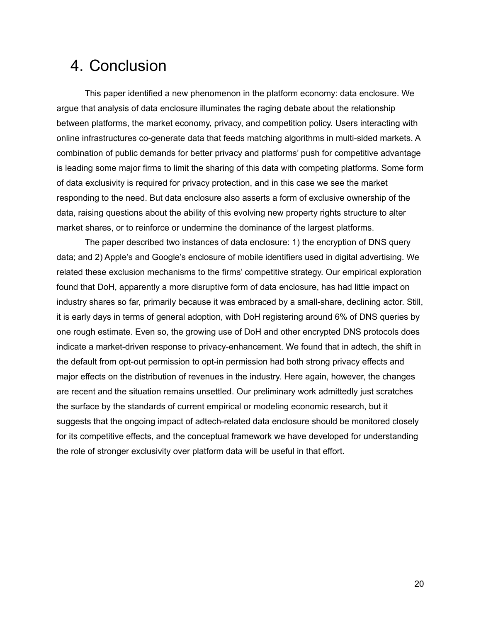## 4. Conclusion

This paper identified a new phenomenon in the platform economy: data enclosure. We argue that analysis of data enclosure illuminates the raging debate about the relationship between platforms, the market economy, privacy, and competition policy. Users interacting with online infrastructures co-generate data that feeds matching algorithms in multi-sided markets. A combination of public demands for better privacy and platforms' push for competitive advantage is leading some major firms to limit the sharing of this data with competing platforms. Some form of data exclusivity is required for privacy protection, and in this case we see the market responding to the need. But data enclosure also asserts a form of exclusive ownership of the data, raising questions about the ability of this evolving new property rights structure to alter market shares, or to reinforce or undermine the dominance of the largest platforms.

The paper described two instances of data enclosure: 1) the encryption of DNS query data; and 2) Apple's and Google's enclosure of mobile identifiers used in digital advertising. We related these exclusion mechanisms to the firms' competitive strategy. Our empirical exploration found that DoH, apparently a more disruptive form of data enclosure, has had little impact on industry shares so far, primarily because it was embraced by a small-share, declining actor. Still, it is early days in terms of general adoption, with DoH registering around 6% of DNS queries by one rough estimate. Even so, the growing use of DoH and other encrypted DNS protocols does indicate a market-driven response to privacy-enhancement. We found that in adtech, the shift in the default from opt-out permission to opt-in permission had both strong privacy effects and major effects on the distribution of revenues in the industry. Here again, however, the changes are recent and the situation remains unsettled. Our preliminary work admittedly just scratches the surface by the standards of current empirical or modeling economic research, but it suggests that the ongoing impact of adtech-related data enclosure should be monitored closely for its competitive effects, and the conceptual framework we have developed for understanding the role of stronger exclusivity over platform data will be useful in that effort.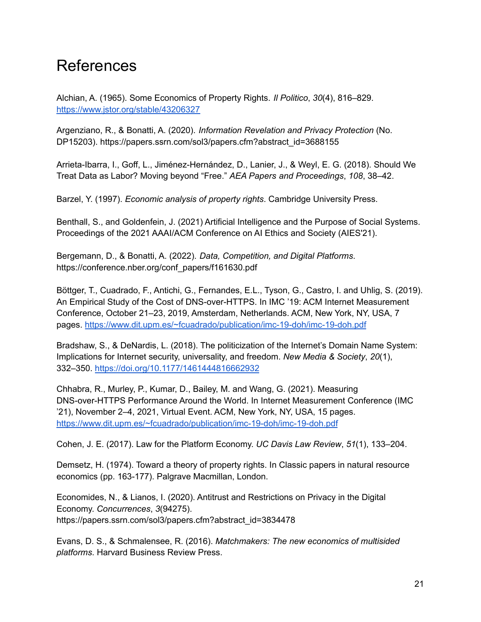## **References**

Alchian, A. (1965). Some Economics of Property Rights. *Il Politico*, *30*(4), 816–829. <https://www.jstor.org/stable/43206327>

Argenziano, R., & Bonatti, A. (2020). *Information Revelation and Privacy Protection* (No. DP15203). https://papers.ssrn.com/sol3/papers.cfm?abstract\_id=3688155

Arrieta-Ibarra, I., Goff, L., Jiménez-Hernández, D., Lanier, J., & Weyl, E. G. (2018). Should We Treat Data as Labor? Moving beyond "Free." *AEA Papers and Proceedings*, *108*, 38–42.

Barzel, Y. (1997). *Economic analysis of property rights*. Cambridge University Press.

Benthall, S., and Goldenfein, J. (2021) Artificial Intelligence and the Purpose of Social Systems. Proceedings of the 2021 AAAI/ACM Conference on AI Ethics and Society (AIES'21).

Bergemann, D., & Bonatti, A. (2022). *Data, Competition, and Digital Platforms*. https://conference.nber.org/conf\_papers/f161630.pdf

Böttger, T., Cuadrado, F., Antichi, G., Fernandes, E.L., Tyson, G., Castro, I. and Uhlig, S. (2019). An Empirical Study of the Cost of DNS-over-HTTPS. In IMC '19: ACM Internet Measurement Conference, October 21–23, 2019, Amsterdam, Netherlands. ACM, New York, NY, USA, 7 pages. <https://www.dit.upm.es/~fcuadrado/publication/imc-19-doh/imc-19-doh.pdf>

Bradshaw, S., & DeNardis, L. (2018). The politicization of the Internet's Domain Name System: Implications for Internet security, universality, and freedom. *New Media & Society*, *20*(1), 332–350. <https://doi.org/10.1177/1461444816662932>

Chhabra, R., Murley, P., Kumar, D., Bailey, M. and Wang, G. (2021). Measuring DNS-over-HTTPS Performance Around the World. In Internet Measurement Conference (IMC '21), November 2–4, 2021, Virtual Event. ACM, New York, NY, USA, 15 pages. <https://www.dit.upm.es/~fcuadrado/publication/imc-19-doh/imc-19-doh.pdf>

Cohen, J. E. (2017). Law for the Platform Economy. *UC Davis Law Review*, *51*(1), 133–204.

Demsetz, H. (1974). Toward a theory of property rights. In Classic papers in natural resource economics (pp. 163-177). Palgrave Macmillan, London.

Economides, N., & Lianos, I. (2020). Antitrust and Restrictions on Privacy in the Digital Economy. *Concurrences*, *3*(94275). https://papers.ssrn.com/sol3/papers.cfm?abstract\_id=3834478

Evans, D. S., & Schmalensee, R. (2016). *Matchmakers: The new economics of multisided platforms*. Harvard Business Review Press.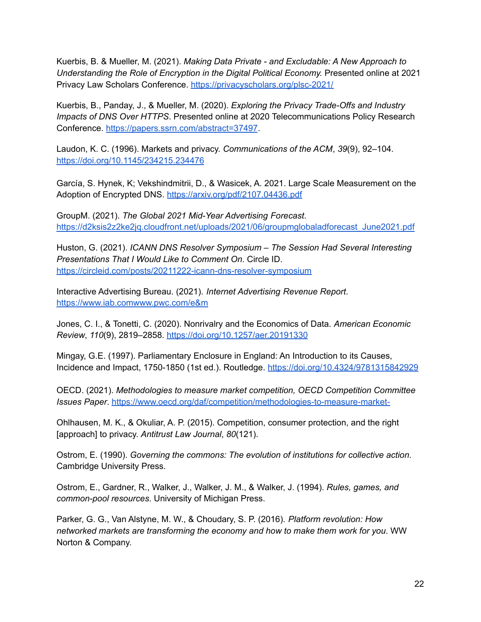Kuerbis, B. & Mueller, M. (2021). *Making Data Private - and Excludable: A New Approach to Understanding the Role of Encryption in the Digital Political Economy.* Presented online at 2021 Privacy Law Scholars Conference. <https://privacyscholars.org/plsc-2021/>

Kuerbis, B., Panday, J., & Mueller, M. (2020). *Exploring the Privacy Trade-Offs and Industry Impacts of DNS Over HTTPS*. Presented online at 2020 Telecommunications Policy Research Conference. [https://papers.ssrn.com/abstract=37497](https://papers.ssrn.com/abstract=3749741).

Laudon, K. C. (1996). Markets and privacy. *Communications of the ACM*, *39*(9), 92–104. <https://doi.org/10.1145/234215.234476>

García, S. Hynek, K; Vekshindmitrii, D., & Wasicek, A. 2021. Large Scale Measurement on the Adoption of Encrypted DNS. <https://arxiv.org/pdf/2107.04436.pdf>

GroupM. (2021). *The Global 2021 Mid-Year Advertising Forecast*. [https://d2ksis2z2ke2jq.cloudfront.net/uploads/2021/06/groupmglobaladforecast\\_June2021.pdf](https://d2ksis2z2ke2jq.cloudfront.net/uploads/2021/06/groupmglobaladforecast_June2021.pdf)

Huston, G. (2021). *ICANN DNS Resolver Symposium – The Session Had Several Interesting Presentations That I Would Like to Comment On*. Circle ID. <https://circleid.com/posts/20211222-icann-dns-resolver-symposium>

Interactive Advertising Bureau. (2021). *Internet Advertising Revenue Report*. <https://www.iab.comwww.pwc.com/e&m>

Jones, C. I., & Tonetti, C. (2020). Nonrivalry and the Economics of Data. *American Economic Review*, *110*(9), 2819–2858. <https://doi.org/10.1257/aer.20191330>

Mingay, G.E. (1997). Parliamentary Enclosure in England: An Introduction to its Causes, Incidence and Impact, 1750-1850 (1st ed.). Routledge. <https://doi.org/10.4324/9781315842929>

OECD. (2021). *Methodologies to measure market competition, OECD Competition Committee Issues Paper*. <https://www.oecd.org/daf/competition/methodologies-to-measure-market->

Ohlhausen, M. K., & Okuliar, A. P. (2015). Competition, consumer protection, and the right [approach] to privacy. *Antitrust Law Journal*, *80*(121).

Ostrom, E. (1990). *Governing the commons: The evolution of institutions for collective action*. Cambridge University Press.

Ostrom, E., Gardner, R., Walker, J., Walker, J. M., & Walker, J. (1994). *Rules, games, and common-pool resources*. University of Michigan Press.

Parker, G. G., Van Alstyne, M. W., & Choudary, S. P. (2016). *Platform revolution: How networked markets are transforming the economy and how to make them work for you*. WW Norton & Company.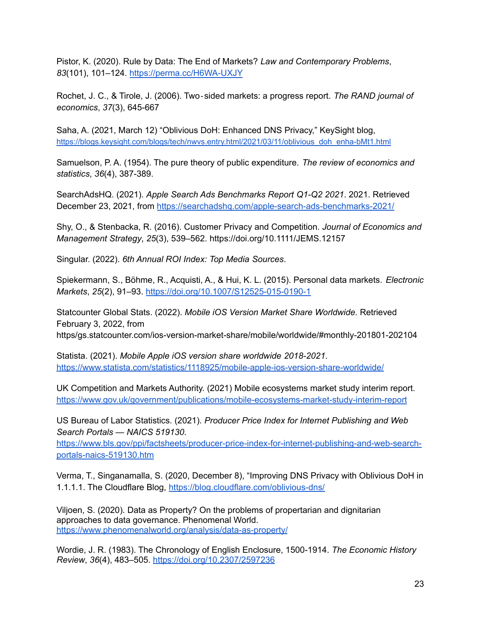Pistor, K. (2020). Rule by Data: The End of Markets? *Law and Contemporary Problems*, *83*(101), 101–124. <https://perma.cc/H6WA-UXJY>

Rochet, J. C., & Tirole, J. (2006). Two‐sided markets: a progress report. *The RAND journal of economics*, *37*(3), 645-667

Saha, A. (2021, March 12) "Oblivious DoH: Enhanced DNS Privacy," KeySight blog, [https://blogs.keysight.com/blogs/tech/nwvs.entry.html/2021/03/11/oblivious\\_doh\\_enha-bMt1.html](https://blogs.keysight.com/blogs/tech/nwvs.entry.html/2021/03/11/oblivious_doh_enha-bMt1.html)

Samuelson, P. A. (1954). The pure theory of public expenditure. *The review of economics and statistics*, *36*(4), 387-389.

SearchAdsHQ. (2021). *Apple Search Ads Benchmarks Report Q1-Q2 2021*. 2021. Retrieved December 23, 2021, from <https://searchadshq.com/apple-search-ads-benchmarks-2021/>

Shy, O., & Stenbacka, R. (2016). Customer Privacy and Competition. *Journal of Economics and Management Strategy*, *25*(3), 539–562. https://doi.org/10.1111/JEMS.12157

Singular. (2022). *6th Annual ROI Index: Top Media Sources*.

Spiekermann, S., Böhme, R., Acquisti, A., & Hui, K. L. (2015). Personal data markets. *Electronic Markets*, *25*(2), 91–93. <https://doi.org/10.1007/S12525-015-0190-1>

Statcounter Global Stats. (2022). *Mobile iOS Version Market Share Worldwide*. Retrieved February 3, 2022, from https/gs.statcounter.com/ios-version-market-share/mobile/worldwide/#monthly-201801-202104

Statista. (2021). *Mobile Apple iOS version share worldwide 2018-2021*. <https://www.statista.com/statistics/1118925/mobile-apple-ios-version-share-worldwide/>

UK Competition and Markets Authority. (2021) Mobile ecosystems market study interim report. <https://www.gov.uk/government/publications/mobile-ecosystems-market-study-interim-report>

US Bureau of Labor Statistics. (2021). *Producer Price Index for Internet Publishing and Web Search Portals — NAICS 519130*.

[https://www.bls.gov/ppi/factsheets/producer-price-index-for-internet-publishing-and-web-search](https://www.bls.gov/ppi/factsheets/producer-price-index-for-internet-publishing-and-web-search-portals-naics-519130.htm)[portals-naics-519130.htm](https://www.bls.gov/ppi/factsheets/producer-price-index-for-internet-publishing-and-web-search-portals-naics-519130.htm)

Verma, T., Singanamalla, S. (2020, December 8), "Improving DNS Privacy with Oblivious DoH in 1.1.1.1. The Cloudflare Blog, <https://blog.cloudflare.com/oblivious-dns/>

Viljoen, S. (2020). Data as Property? On the problems of propertarian and dignitarian approaches to data governance. Phenomenal World. <https://www.phenomenalworld.org/analysis/data-as-property/>

Wordie, J. R. (1983). The Chronology of English Enclosure, 1500-1914. *The Economic History Review*, *36*(4), 483–505. <https://doi.org/10.2307/2597236>